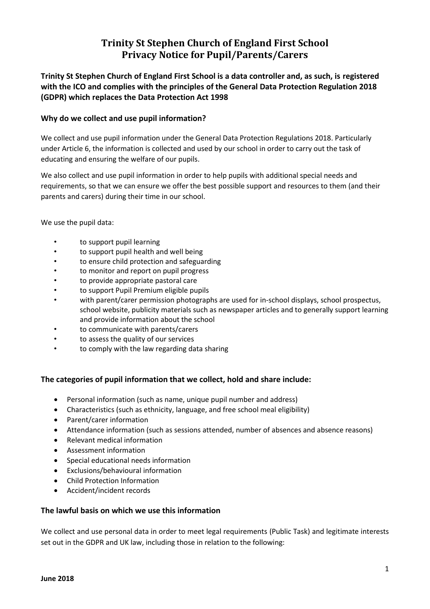# **Trinity St Stephen Church of England First School Privacy Notice for Pupil/Parents/Carers**

**Trinity St Stephen Church of England First School is a data controller and, as such, is registered with the ICO and complies with the principles of the General Data Protection Regulation 2018 (GDPR) which replaces the Data Protection Act 1998**

## **Why do we collect and use pupil information?**

We collect and use pupil information under the General Data Protection Regulations 2018. Particularly under Article 6, the information is collected and used by our school in order to carry out the task of educating and ensuring the welfare of our pupils.

We also collect and use pupil information in order to help pupils with additional special needs and requirements, so that we can ensure we offer the best possible support and resources to them (and their parents and carers) during their time in our school.

We use the pupil data:

- to support pupil learning
- to support pupil health and well being
- to ensure child protection and safeguarding
- to monitor and report on pupil progress
- to provide appropriate pastoral care
- to support Pupil Premium eligible pupils
- with parent/carer permission photographs are used for in-school displays, school prospectus, school website, publicity materials such as newspaper articles and to generally support learning and provide information about the school
- to communicate with parents/carers
- to assess the quality of our services
- to comply with the law regarding data sharing

## **The categories of pupil information that we collect, hold and share include:**

- Personal information (such as name, unique pupil number and address)
- Characteristics (such as ethnicity, language, and free school meal eligibility)
- Parent/carer information
- Attendance information (such as sessions attended, number of absences and absence reasons)
- Relevant medical information
- Assessment information
- Special educational needs information
- Exclusions/behavioural information
- Child Protection Information
- Accident/incident records

## **The lawful basis on which we use this information**

We collect and use personal data in order to meet legal requirements (Public Task) and legitimate interests set out in the GDPR and UK law, including those in relation to the following: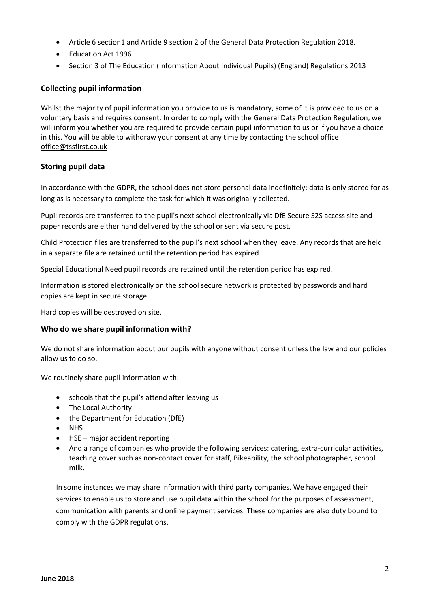- Article 6 section1 and Article 9 section 2 of the General Data Protection Regulation 2018.
- Education Act 1996
- Section 3 of The Education (Information About Individual Pupils) (England) Regulations 2013

# **Collecting pupil information**

Whilst the majority of pupil information you provide to us is mandatory, some of it is provided to us on a voluntary basis and requires consent. In order to comply with the General Data Protection Regulation, we will inform you whether you are required to provide certain pupil information to us or if you have a choice in this. You will be able to withdraw your consent at any time by contacting the school office [office@tssfirst.co.uk](mailto:office@tssfirst.co.uk)

## **Storing pupil data**

In accordance with the GDPR, the school does not store personal data indefinitely; data is only stored for as long as is necessary to complete the task for which it was originally collected.

Pupil records are transferred to the pupil's next school electronically via DfE Secure S2S access site and paper records are either hand delivered by the school or sent via secure post.

Child Protection files are transferred to the pupil's next school when they leave. Any records that are held in a separate file are retained until the retention period has expired.

Special Educational Need pupil records are retained until the retention period has expired.

Information is stored electronically on the school secure network is protected by passwords and hard copies are kept in secure storage.

Hard copies will be destroyed on site.

## **Who do we share pupil information with?**

We do not share information about our pupils with anyone without consent unless the law and our policies allow us to do so.

We routinely share pupil information with:

- schools that the pupil's attend after leaving us
- The Local Authority
- the Department for Education (DfE)
- NHS
- HSE major accident reporting
- And a range of companies who provide the following services: catering, extra-curricular activities, teaching cover such as non-contact cover for staff, Bikeability, the school photographer, school milk.

In some instances we may share information with third party companies. We have engaged their services to enable us to store and use pupil data within the school for the purposes of assessment, communication with parents and online payment services. These companies are also duty bound to comply with the GDPR regulations.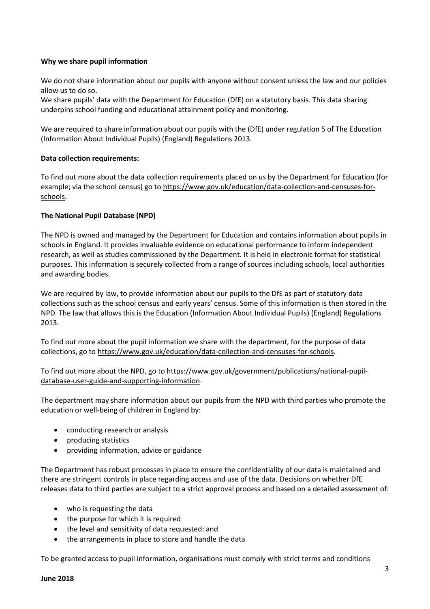#### **Why we share pupil information**

We do not share information about our pupils with anyone without consent unless the law and our policies allow us to do so.

We share pupils' data with the Department for Education (DfE) on a statutory basis. This data sharing underpins school funding and educational attainment policy and monitoring.

We are required to share information about our pupils with the (DfE) under regulation 5 of The Education (Information About Individual Pupils) (England) Regulations 2013.

#### **Data collection requirements:**

To find out more about the data collection requirements placed on us by the Department for Education (for example; via the school census) go to [https://www.gov.uk/education/data-collection-and-censuses-for](https://www.gov.uk/education/data-collection-and-censuses-for-schools)[schools.](https://www.gov.uk/education/data-collection-and-censuses-for-schools)

#### **The National Pupil Database (NPD)**

The NPD is owned and managed by the Department for Education and contains information about pupils in schools in England. It provides invaluable evidence on educational performance to inform independent research, as well as studies commissioned by the Department. It is held in electronic format for statistical purposes. This information is securely collected from a range of sources including schools, local authorities and awarding bodies.

We are required by law, to provide information about our pupils to the DfE as part of statutory data collections such as the school census and early years' census. Some of this information is then stored in the NPD. The law that allows this is the Education (Information About Individual Pupils) (England) Regulations 2013.

To find out more about the pupil information we share with the department, for the purpose of data collections, go to [https://www.gov.uk/education/data-collection-and-censuses-for-schools.](https://www.gov.uk/education/data-collection-and-censuses-for-schools)

To find out more about the NPD, go to [https://www.gov.uk/government/publications/national-pupil](https://www.gov.uk/government/publications/national-pupil-database-user-guide-and-supporting-information)[database-user-guide-and-supporting-information.](https://www.gov.uk/government/publications/national-pupil-database-user-guide-and-supporting-information)

The department may share information about our pupils from the NPD with third parties who promote the education or well-being of children in England by:

- conducting research or analysis
- producing statistics
- providing information, advice or guidance

The Department has robust processes in place to ensure the confidentiality of our data is maintained and there are stringent controls in place regarding access and use of the data. Decisions on whether DfE releases data to third parties are subject to a strict approval process and based on a detailed assessment of:

- who is requesting the data
- the purpose for which it is required
- the level and sensitivity of data requested: and
- the arrangements in place to store and handle the data

To be granted access to pupil information, organisations must comply with strict terms and conditions